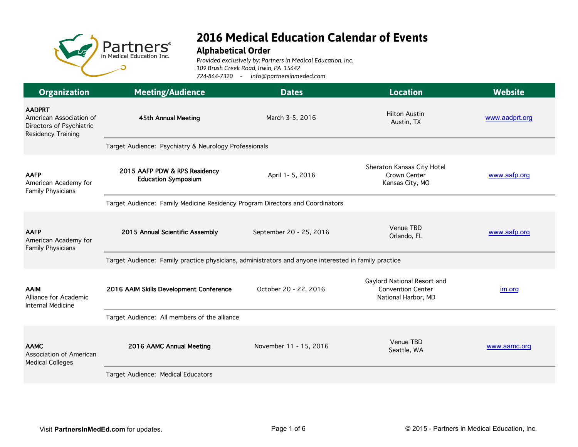

## **2016 Medical Education Calendar of Events**

## **Alphabetical Order**

*Provided exclusively by: Partners in Medical Education, Inc. 109 Brush Creek Road, Irwin, PA 15642 724-864-7320 - info@partnersinmeded.com*

| <b>Organization</b>                                                                        | <b>Meeting/Audience</b>                                                                              | <b>Dates</b>                                                                  | <b>Location</b>                                                                | <b>Website</b> |  |
|--------------------------------------------------------------------------------------------|------------------------------------------------------------------------------------------------------|-------------------------------------------------------------------------------|--------------------------------------------------------------------------------|----------------|--|
| <b>AADPRT</b><br>American Association of<br>Directors of Psychiatric<br>Residency Training | 45th Annual Meeting                                                                                  | March 3-5, 2016                                                               | <b>Hilton Austin</b><br>Austin, TX                                             | www.aadprt.org |  |
|                                                                                            | Target Audience: Psychiatry & Neurology Professionals                                                |                                                                               |                                                                                |                |  |
| <b>AAFP</b><br>American Academy for<br><b>Family Physicians</b>                            | 2015 AAFP PDW & RPS Residency<br><b>Education Symposium</b>                                          | April 1- 5, 2016                                                              | Sheraton Kansas City Hotel<br>Crown Center<br>Kansas City, MO                  | www.aafp.org   |  |
|                                                                                            |                                                                                                      | Target Audience: Family Medicine Residency Program Directors and Coordinators |                                                                                |                |  |
| <b>AAFP</b><br>American Academy for<br><b>Family Physicians</b>                            | 2015 Annual Scientific Assembly                                                                      | September 20 - 25, 2016                                                       | Venue TBD<br>Orlando, FL                                                       | www.aafp.org   |  |
|                                                                                            | Target Audience: Family practice physicians, administrators and anyone interested in family practice |                                                                               |                                                                                |                |  |
| <b>AAIM</b><br>Alliance for Academic<br><b>Internal Medicine</b>                           | 2016 AAIM Skills Development Conference                                                              | October 20 - 22, 2016                                                         | Gaylord National Resort and<br><b>Convention Center</b><br>National Harbor, MD | im.org         |  |
|                                                                                            | Target Audience: All members of the alliance                                                         |                                                                               |                                                                                |                |  |
| <b>AAMC</b><br>Association of American<br><b>Medical Colleges</b>                          | 2016 AAMC Annual Meeting                                                                             | November 11 - 15, 2016                                                        | Venue TBD<br>Seattle, WA                                                       | www.aamc.org   |  |
|                                                                                            | Target Audience: Medical Educators                                                                   |                                                                               |                                                                                |                |  |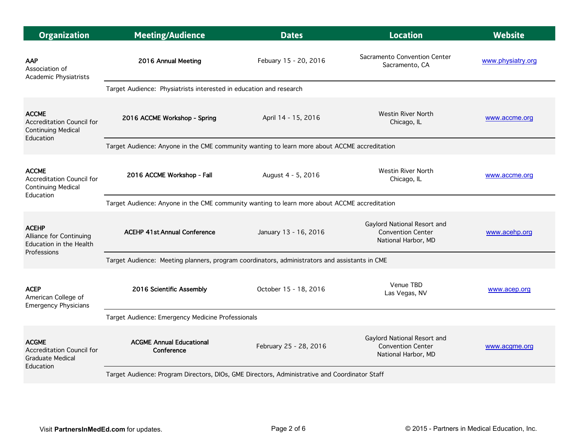| <b>Organization</b>                                                               | <b>Meeting/Audience</b>                                                                       | <b>Dates</b>           | <b>Location</b>                                                                | <b>Website</b>    |  |
|-----------------------------------------------------------------------------------|-----------------------------------------------------------------------------------------------|------------------------|--------------------------------------------------------------------------------|-------------------|--|
| <b>AAP</b><br>Association of<br>Academic Physiatrists                             | 2016 Annual Meeting                                                                           | Febuary 15 - 20, 2016  | Sacramento Convention Center<br>Sacramento, CA                                 | www.physiatry.org |  |
|                                                                                   | Target Audience: Physiatrists interested in education and research                            |                        |                                                                                |                   |  |
| <b>ACCME</b><br>Accreditation Council for<br><b>Continuing Medical</b>            | 2016 ACCME Workshop - Spring                                                                  | April 14 - 15, 2016    | <b>Westin River North</b><br>Chicago, IL                                       | www.accme.org     |  |
| Education                                                                         | Target Audience: Anyone in the CME community wanting to learn more about ACCME accreditation  |                        |                                                                                |                   |  |
| <b>ACCME</b><br>Accreditation Council for<br><b>Continuing Medical</b>            | 2016 ACCME Workshop - Fall                                                                    | August 4 - 5, 2016     | <b>Westin River North</b><br>Chicago, IL                                       | www.accme.org     |  |
| Education                                                                         | Target Audience: Anyone in the CME community wanting to learn more about ACCME accreditation  |                        |                                                                                |                   |  |
| <b>ACEHP</b><br>Alliance for Continuing<br>Education in the Health<br>Professions | <b>ACEHP 41st Annual Conference</b>                                                           | January 13 - 16, 2016  | Gaylord National Resort and<br><b>Convention Center</b><br>National Harbor, MD | www.acehp.org     |  |
|                                                                                   | Target Audience: Meeting planners, program coordinators, administrators and assistants in CME |                        |                                                                                |                   |  |
| <b>ACEP</b><br>American College of<br><b>Emergency Physicians</b>                 | 2016 Scientific Assembly                                                                      | October 15 - 18, 2016  | Venue TBD<br>Las Vegas, NV                                                     | www.acep.org      |  |
|                                                                                   | Target Audience: Emergency Medicine Professionals                                             |                        |                                                                                |                   |  |
| <b>ACGME</b><br>Accreditation Council for<br><b>Graduate Medical</b><br>Education | <b>ACGME Annual Educational</b><br>Conference                                                 | February 25 - 28, 2016 | Gaylord National Resort and<br><b>Convention Center</b><br>National Harbor, MD | www.acgme.org     |  |
|                                                                                   | Target Audience: Program Directors, DIOs, GME Directors, Administrative and Coordinator Staff |                        |                                                                                |                   |  |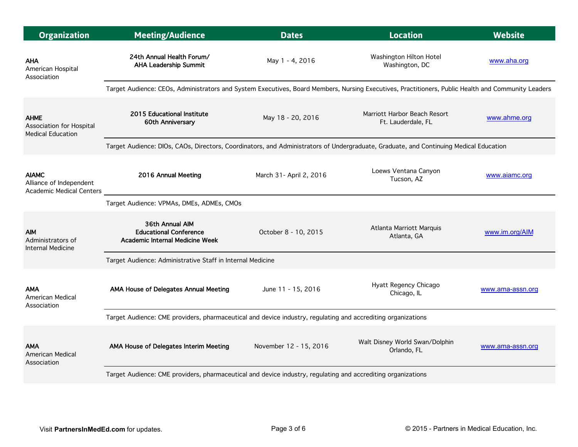| <b>Organization</b>                                                 | <b>Meeting/Audience</b>                                                                                                                            | <b>Dates</b>            | <b>Location</b>                                    | <b>Website</b>   |
|---------------------------------------------------------------------|----------------------------------------------------------------------------------------------------------------------------------------------------|-------------------------|----------------------------------------------------|------------------|
| <b>AHA</b><br>American Hospital<br>Association                      | 24th Annual Health Forum/<br><b>AHA Leadership Summit</b>                                                                                          | May 1 - 4, 2016         | Washington Hilton Hotel<br>Washington, DC          | www.aha.org      |
|                                                                     | Target Audience: CEOs, Administrators and System Executives, Board Members, Nursing Executives, Practitioners, Public Health and Community Leaders |                         |                                                    |                  |
| <b>AHME</b><br>Association for Hospital<br><b>Medical Education</b> | 2015 Educational Institute<br>60th Anniversary                                                                                                     | May 18 - 20, 2016       | Marriott Harbor Beach Resort<br>Ft. Lauderdale, FL | www.ahme.org     |
|                                                                     | Target Audience: DIOs, CAOs, Directors, Coordinators, and Administrators of Undergraduate, Graduate, and Continuing Medical Education              |                         |                                                    |                  |
| <b>AIAMC</b><br>Alliance of Independent<br>Academic Medical Centers | 2016 Annual Meeting                                                                                                                                | March 31- April 2, 2016 | Loews Ventana Canyon<br>Tucson, AZ                 | www.aiamc.org    |
|                                                                     | Target Audience: VPMAs, DMEs, ADMEs, CMOs                                                                                                          |                         |                                                    |                  |
| <b>AIM</b><br>Administrators of<br><b>Internal Medicine</b>         | 36th Annual AIM<br><b>Educational Conference</b><br>Academic Internal Medicine Week                                                                | October 8 - 10, 2015    | Atlanta Marriott Marquis<br>Atlanta, GA            | www.im.org/AIM   |
|                                                                     | Target Audience: Administrative Staff in Internal Medicine                                                                                         |                         |                                                    |                  |
| <b>AMA</b><br>American Medical<br>Association                       | AMA House of Delegates Annual Meeting                                                                                                              | June 11 - 15, 2016      | Hyatt Regency Chicago<br>Chicago, IL               | www.ama-assn.org |
|                                                                     | Target Audience: CME providers, pharmaceutical and device industry, regulating and accrediting organizations                                       |                         |                                                    |                  |
| <b>AMA</b><br><b>American Medical</b><br>Association                | AMA House of Delegates Interim Meeting                                                                                                             | November 12 - 15, 2016  | Walt Disney World Swan/Dolphin<br>Orlando, FL      | www.ama-assn.org |
|                                                                     | Target Audience: CME providers, pharmaceutical and device industry, regulating and accrediting organizations                                       |                         |                                                    |                  |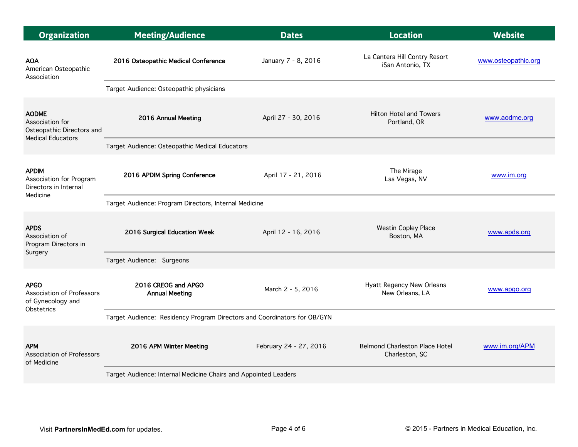| <b>Organization</b>                                                                | <b>Meeting/Audience</b>                                                  | <b>Dates</b>           | <b>Location</b>                                         | <b>Website</b>      |  |  |
|------------------------------------------------------------------------------------|--------------------------------------------------------------------------|------------------------|---------------------------------------------------------|---------------------|--|--|
| <b>AOA</b><br>American Osteopathic<br>Association                                  | 2016 Osteopathic Medical Conference                                      | January 7 - 8, 2016    | La Cantera Hill Contry Resort<br>iSan Antonio, TX       | www.osteopathic.org |  |  |
|                                                                                    | Target Audience: Osteopathic physicians                                  |                        |                                                         |                     |  |  |
| <b>AODME</b><br>Association for<br>Osteopathic Directors and                       | 2016 Annual Meeting                                                      | April 27 - 30, 2016    | <b>Hilton Hotel and Towers</b><br>Portland, OR          | www.aodme.org       |  |  |
| <b>Medical Educators</b>                                                           | Target Audience: Osteopathic Medical Educators                           |                        |                                                         |                     |  |  |
| <b>APDIM</b><br>Association for Program<br>Directors in Internal                   | 2016 APDIM Spring Conference                                             | April 17 - 21, 2016    | The Mirage<br>Las Vegas, NV                             | www.im.org          |  |  |
| Medicine                                                                           | Target Audience: Program Directors, Internal Medicine                    |                        |                                                         |                     |  |  |
| <b>APDS</b><br>Association of<br>Program Directors in<br>Surgery                   | 2016 Surgical Education Week                                             | April 12 - 16, 2016    | <b>Westin Copley Place</b><br>Boston, MA                | www.apds.org        |  |  |
|                                                                                    | Target Audience: Surgeons                                                |                        |                                                         |                     |  |  |
| <b>APGO</b><br>Association of Professors<br>of Gynecology and<br><b>Obstetrics</b> | 2016 CREOG and APGO<br><b>Annual Meeting</b>                             | March 2 - 5, 2016      | Hyatt Regency New Orleans<br>New Orleans, LA            | www.apgo.org        |  |  |
|                                                                                    | Target Audience: Residency Program Directors and Coordinators for OB/GYN |                        |                                                         |                     |  |  |
| <b>APM</b><br><b>Association of Professors</b><br>of Medicine                      | 2016 APM Winter Meeting                                                  | February 24 - 27, 2016 | <b>Belmond Charleston Place Hotel</b><br>Charleston, SC | www.im.org/APM      |  |  |
|                                                                                    | Target Audience: Internal Medicine Chairs and Appointed Leaders          |                        |                                                         |                     |  |  |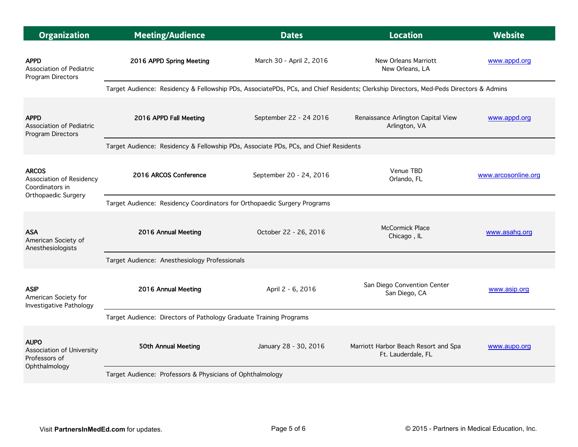| <b>Organization</b>                                                        | <b>Meeting/Audience</b>                                                                                                               | <b>Dates</b>             | <b>Location</b>                                            | <b>Website</b>      |  |  |
|----------------------------------------------------------------------------|---------------------------------------------------------------------------------------------------------------------------------------|--------------------------|------------------------------------------------------------|---------------------|--|--|
| <b>APPD</b><br>Association of Pediatric<br>Program Directors               | 2016 APPD Spring Meeting                                                                                                              | March 30 - April 2, 2016 | New Orleans Marriott<br>New Orleans, LA                    | www.appd.org        |  |  |
|                                                                            | Target Audience: Residency & Fellowship PDs, AssociatePDs, PCs, and Chief Residents; Clerkship Directors, Med-Peds Directors & Admins |                          |                                                            |                     |  |  |
| <b>APPD</b><br>Association of Pediatric<br>Program Directors               | 2016 APPD Fall Meeting                                                                                                                | September 22 - 24 2016   | Renaissance Arlington Capital View<br>Arlington, VA        | www.appd.org        |  |  |
|                                                                            | Target Audience: Residency & Fellowship PDs, Associate PDs, PCs, and Chief Residents                                                  |                          |                                                            |                     |  |  |
| <b>ARCOS</b><br>Association of Residency<br>Coordinators in                | 2016 ARCOS Conference                                                                                                                 | September 20 - 24, 2016  | Venue TBD<br>Orlando, FL                                   | www.arcosonline.org |  |  |
| Orthopaedic Surgery                                                        | Target Audience: Residency Coordinators for Orthopaedic Surgery Programs                                                              |                          |                                                            |                     |  |  |
| <b>ASA</b><br>American Society of<br>Anesthesiologists                     | 2016 Annual Meeting                                                                                                                   | October 22 - 26, 2016    | <b>McCormick Place</b><br>Chicago, IL                      | www.asahq.org       |  |  |
|                                                                            | Target Audience: Anesthesiology Professionals                                                                                         |                          |                                                            |                     |  |  |
| <b>ASIP</b><br>American Society for<br>Investigative Pathology             | 2016 Annual Meeting                                                                                                                   | April 2 - 6, 2016        | San Diego Convention Center<br>San Diego, CA               | www.asip.org        |  |  |
|                                                                            | Target Audience: Directors of Pathology Graduate Training Programs                                                                    |                          |                                                            |                     |  |  |
| <b>AUPO</b><br>Association of University<br>Professors of<br>Ophthalmology | 50th Annual Meeting                                                                                                                   | January 28 - 30, 2016    | Marriott Harbor Beach Resort and Spa<br>Ft. Lauderdale, FL | www.aupo.org        |  |  |
|                                                                            | Target Audience: Professors & Physicians of Ophthalmology                                                                             |                          |                                                            |                     |  |  |